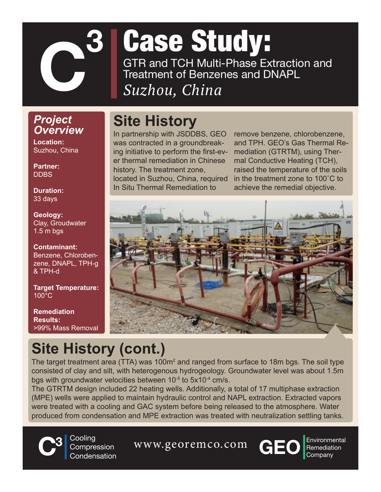

# Case Study: GTR and TCH Multi-Phase Extraction and Treatment of Benzenes and DNAPL

#### *Suzhou, China*

#### *Project Overview*

**Location:**  Suzhou, China

**Partner: DDBS** 

**Duration:**  33 days

**Geology:** Clay, Groudwater 1.5 m bgs

**Contaminant:** Benzene, Chlorobenzene, DNAPL, TPH-g & TPH-d

**Target Temperature:** 100°C

**Remediation Results:** >99% Mass Removal

### **Site History**

In partnership with JSDDBS, GEO was contracted in a groundbreaking initiative to perform the first-ever thermal remediation in Chinese history. The treatment zone, located in Suzhou, China, required In Situ Thermal Remediation to

remove benzene, chlorobenzene, and TPH. GEO's Gas Thermal Remediation (GTRTM), using Thermal Conductive Heating (TCH), raised the temperature of the soils in the treatment zone to 100˚C to achieve the remedial objective.



## **Site History (cont.)**

The target treatment area (TTA) was 100m<sup>2</sup> and ranged from surface to 18m bgs. The soil type consisted of clay and silt, with heterogenous hydrogeology. Groundwater level was about 1.5m bgs with groundwater velocities between  $10^{-5}$  to  $5x10^{-4}$  cm/s.

The GTRTM design included 22 heating wells. Additionally, a total of 17 multiphase extraction (MPE) wells were applied to maintain hydraulic control and NAPL extraction. Extracted vapors were treated with a cooling and GAC system before being released to the atmosphere. Water produced from condensation and MPE extraction was treated with neutralization settling tanks.



**3** Cooling Compression **Condensation** 

**C**<sup>3</sup> Cooling Compression WWW.georemco.com **CEO** Environment Condensation



Environmental<br>Remediation<br>Company